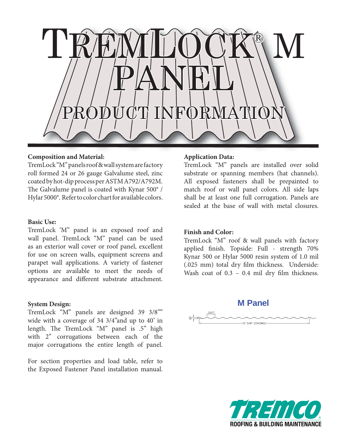

# **Composition and Material:**

TremLock "M" panels roof & wall system are factory roll formed 24 or 26 gauge Galvalume steel, zinc coated by hot-dip process per ASTM A792/A792M. The Galvalume panel is coated with Kynar  $500^{\circ}$  / Hylar 5000®. Refer to color chart for available colors.

### **Basic Use:**

TremLock 'M" panel is an exposed roof and wall panel. TremLock "M" panel can be used as an exterior wall cover or roof panel, excellent for use on screen walls, equipment screens and parapet wall applications. A variety of fastener options are available to meet the needs of appearance and different substrate attachment.

### **System Design:**

TremLock "M" panels are designed 39 3/8"" wide with a coverage of 34 3/4"and up to 40' in length. The TremLock "M" panel is .5" high with 2" corrugations between each of the major corrugations the entire length of panel.

For section properties and load table, refer to the Exposed Fastener Panel installation manual.

# **Application Data:**

TremLock "M" panels are installed over solid substrate or spanning members (hat channels). All exposed fasteners shall be prepainted to match roof or wall panel colors. All side laps shall be at least one full corrugation. Panels are sealed at the base of wall with metal closures.

# **Finish and Color:**

TremLock "M" roof & wall panels with factory applied finish. Topside: Full - strength 70% Kynar 500 or Hylar 5000 resin system of 1.0 mil (.025 mm) total dry film thickness. Underside: Wash coat of  $0.3 - 0.4$  mil dry film thickness.